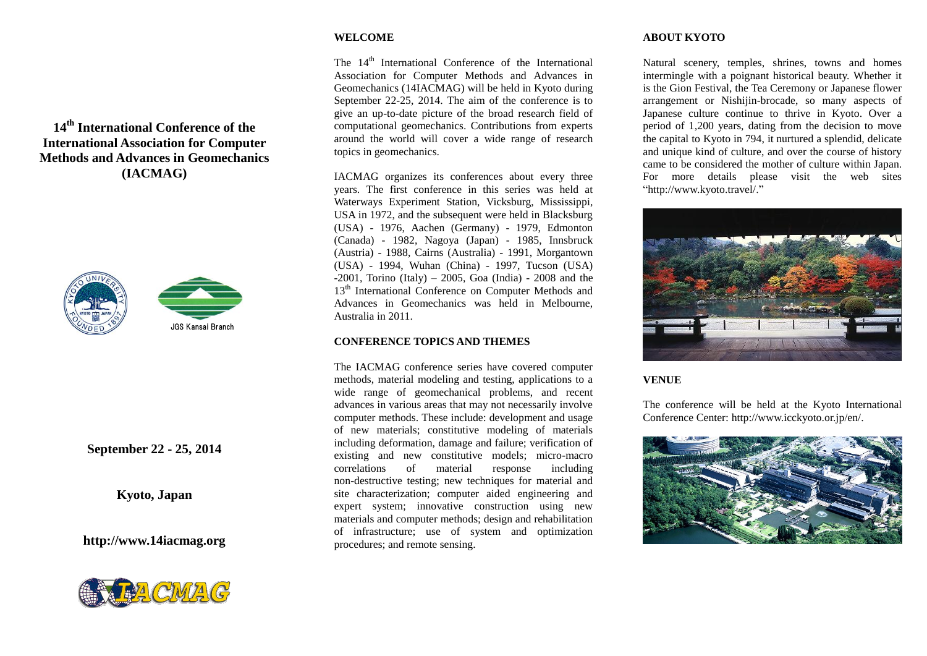# **WELCOME**

The 14<sup>th</sup> International Conference of the International Association for Computer Methods and Advances in Geomechanics (14IACMAG) will be held in Kyoto during September 22-25, 2014. The aim of the conference is to give an up-to-date picture of the broad research field of computational geomechanics. Contributions from experts around the world will cover a wide range of research topics in geomechanics.

IACMAG organizes its conferences about every three years. The first conference in this series was held at Waterways Experiment Station, Vicksburg, Mississippi, USA in 1972, and the subsequent were held in Blacksburg (USA) - 1976, Aachen (Germany) - 1979, Edmonton (Canada) - 1982, Nagoya (Japan) - 1985, Innsbruck (Austria) - 1988, Cairns (Australia) - 1991, Morgantown (USA) - 1994, Wuhan (China) - 1997, Tucson (USA)  $-2001$ , Torino (Italy) – 2005, Goa (India) - 2008 and the 13<sup>th</sup> International Conference on Computer Methods and Advances in Geomechanics was held in Melbourne, Australia in 2011.

## **CONFERENCE TOPICS AND THEMES**

The IACMAG conference series have covered computer methods, material modeling and testing, applications to a wide range of geomechanical problems, and recent advances in various areas that may not necessarily involve computer methods. These include: development and usage of new materials; constitutive modeling of materials including deformation, damage and failure; verification of existing and new constitutive models; micro-macro correlations of material response including non-destructive testing; new techniques for material and site characterization; computer aided engineering and expert system; innovative construction using new materials and computer methods; design and rehabilitation of infrastructure; use of system and optimization procedures; and remote sensing.

# **ABOUT KYOTO**

Natural scenery, temples, shrines, towns and homes intermingle with a poignant historical beauty. Whether it is the Gion Festival, the Tea Ceremony or Japanese flower arrangement or Nishijin-brocade, so many aspects of Japanese culture continue to thrive in Kyoto. Over a period of 1,200 years, dating from the decision to move the capital to Kyoto in 794, it nurtured a splendid, delicate and unique kind of culture, and over the course of history came to be considered the mother of culture within Japan. For more details please visit the web sites "http://www.kyoto.travel/."



# **VENUE**

The conference will be held at the Kyoto International Conference Center: http://www.icckyoto.or.jp/en/.



# **14 th International Conference of the International Association for Computer Methods and Advances in Geomechanics (IACMAG)**





**September 22 - 25, 2014**

**Kyoto, Japan**

**http://www.14iacmag.org**